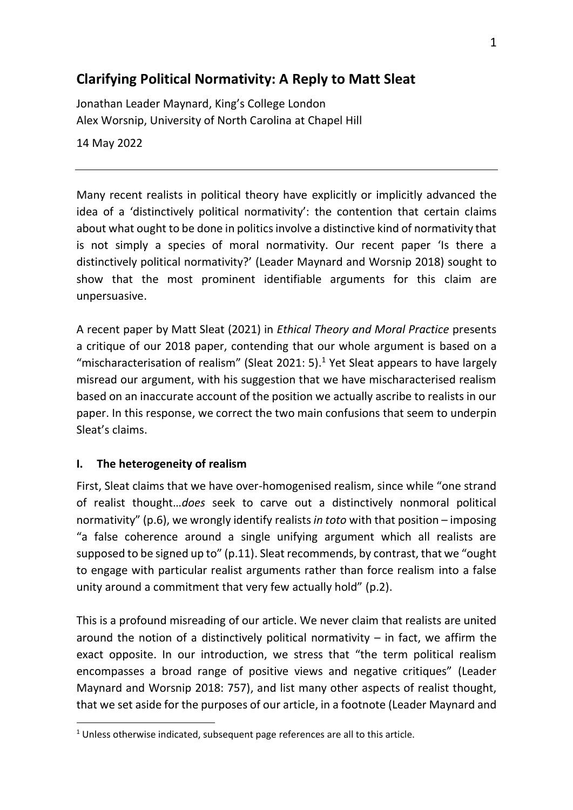# **Clarifying Political Normativity: A Reply to Matt Sleat**

Jonathan Leader Maynard, King's College London Alex Worsnip, University of North Carolina at Chapel Hill 14 May 2022

Many recent realists in political theory have explicitly or implicitly advanced the idea of a 'distinctively political normativity': the contention that certain claims about what ought to be done in politics involve a distinctive kind of normativity that is not simply a species of moral normativity. Our recent paper 'Is there a distinctively political normativity?' (Leader Maynard and Worsnip 2018) sought to show that the most prominent identifiable arguments for this claim are unpersuasive.

A recent paper by Matt Sleat (2021) in *Ethical Theory and Moral Practice* presents a critique of our 2018 paper, contending that our whole argument is based on a "mischaracterisation of realism" (Sleat 2021: 5).<sup>1</sup> Yet Sleat appears to have largely misread our argument, with his suggestion that we have mischaracterised realism based on an inaccurate account of the position we actually ascribe to realists in our paper. In this response, we correct the two main confusions that seem to underpin Sleat's claims.

# **I. The heterogeneity of realism**

First, Sleat claims that we have over-homogenised realism, since while "one strand of realist thought…*does* seek to carve out a distinctively nonmoral political normativity" (p.6), we wrongly identify realists *in toto* with that position – imposing "a false coherence around a single unifying argument which all realists are supposed to be signed up to" (p.11). Sleat recommends, by contrast, that we "ought to engage with particular realist arguments rather than force realism into a false unity around a commitment that very few actually hold" (p.2).

This is a profound misreading of our article. We never claim that realists are united around the notion of a distinctively political normativity  $-$  in fact, we affirm the exact opposite. In our introduction, we stress that "the term political realism encompasses a broad range of positive views and negative critiques" (Leader Maynard and Worsnip 2018: 757), and list many other aspects of realist thought, that we set aside for the purposes of our article, in a footnote (Leader Maynard and

 $1$  Unless otherwise indicated, subsequent page references are all to this article.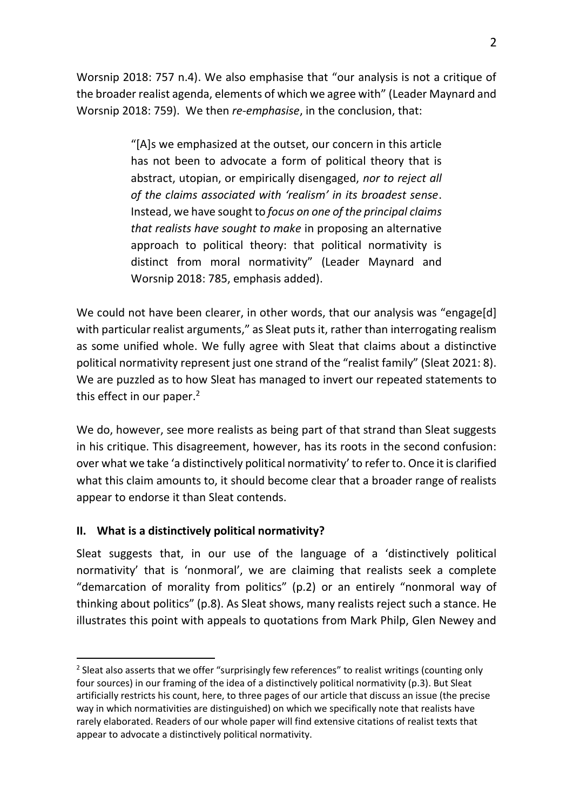Worsnip 2018: 757 n.4). We also emphasise that "our analysis is not a critique of the broader realist agenda, elements of which we agree with" (Leader Maynard and Worsnip 2018: 759). We then *re-emphasise*, in the conclusion, that:

> "[A]s we emphasized at the outset, our concern in this article has not been to advocate a form of political theory that is abstract, utopian, or empirically disengaged, *nor to reject all of the claims associated with 'realism' in its broadest sense*. Instead, we have sought to *focus on one of the principal claims that realists have sought to make* in proposing an alternative approach to political theory: that political normativity is distinct from moral normativity" (Leader Maynard and Worsnip 2018: 785, emphasis added).

We could not have been clearer, in other words, that our analysis was "engage[d] with particular realist arguments," as Sleat puts it, rather than interrogating realism as some unified whole. We fully agree with Sleat that claims about a distinctive political normativity represent just one strand of the "realist family" (Sleat 2021: 8). We are puzzled as to how Sleat has managed to invert our repeated statements to this effect in our paper.<sup>2</sup>

We do, however, see more realists as being part of that strand than Sleat suggests in his critique. This disagreement, however, has its roots in the second confusion: over what we take 'a distinctively political normativity'to refer to. Once it is clarified what this claim amounts to, it should become clear that a broader range of realists appear to endorse it than Sleat contends.

# **II. What is a distinctively political normativity?**

Sleat suggests that, in our use of the language of a 'distinctively political normativity' that is 'nonmoral', we are claiming that realists seek a complete "demarcation of morality from politics" (p.2) or an entirely "nonmoral way of thinking about politics" (p.8). As Sleat shows, many realists reject such a stance. He illustrates this point with appeals to quotations from Mark Philp, Glen Newey and

 $2$  Sleat also asserts that we offer "surprisingly few references" to realist writings (counting only four sources) in our framing of the idea of a distinctively political normativity (p.3). But Sleat artificially restricts his count, here, to three pages of our article that discuss an issue (the precise way in which normativities are distinguished) on which we specifically note that realists have rarely elaborated. Readers of our whole paper will find extensive citations of realist texts that appear to advocate a distinctively political normativity.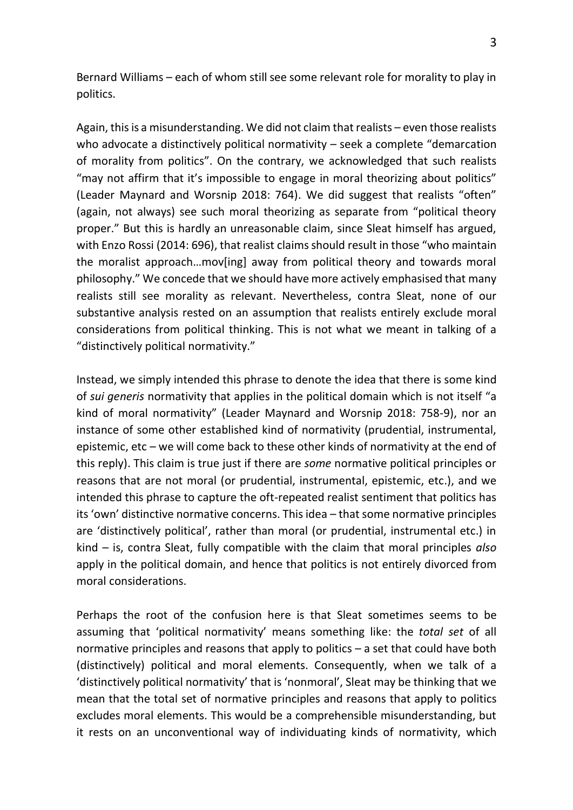Bernard Williams – each of whom still see some relevant role for morality to play in politics.

Again, this is a misunderstanding. We did not claim that realists – even those realists who advocate a distinctively political normativity – seek a complete "demarcation of morality from politics". On the contrary, we acknowledged that such realists "may not affirm that it's impossible to engage in moral theorizing about politics" (Leader Maynard and Worsnip 2018: 764). We did suggest that realists "often" (again, not always) see such moral theorizing as separate from "political theory proper." But this is hardly an unreasonable claim, since Sleat himself has argued, with Enzo Rossi (2014: 696), that realist claims should result in those "who maintain the moralist approach…mov[ing] away from political theory and towards moral philosophy." We concede that we should have more actively emphasised that many realists still see morality as relevant. Nevertheless, contra Sleat, none of our substantive analysis rested on an assumption that realists entirely exclude moral considerations from political thinking. This is not what we meant in talking of a "distinctively political normativity."

Instead, we simply intended this phrase to denote the idea that there is some kind of *sui generis* normativity that applies in the political domain which is not itself "a kind of moral normativity" (Leader Maynard and Worsnip 2018: 758-9), nor an instance of some other established kind of normativity (prudential, instrumental, epistemic, etc – we will come back to these other kinds of normativity at the end of this reply). This claim is true just if there are *some* normative political principles or reasons that are not moral (or prudential, instrumental, epistemic, etc.), and we intended this phrase to capture the oft-repeated realist sentiment that politics has its 'own' distinctive normative concerns. This idea – that some normative principles are 'distinctively political', rather than moral (or prudential, instrumental etc.) in kind – is, contra Sleat, fully compatible with the claim that moral principles *also*  apply in the political domain, and hence that politics is not entirely divorced from moral considerations.

Perhaps the root of the confusion here is that Sleat sometimes seems to be assuming that 'political normativity' means something like: the *total set* of all normative principles and reasons that apply to politics – a set that could have both (distinctively) political and moral elements. Consequently, when we talk of a 'distinctively political normativity' that is 'nonmoral', Sleat may be thinking that we mean that the total set of normative principles and reasons that apply to politics excludes moral elements. This would be a comprehensible misunderstanding, but it rests on an unconventional way of individuating kinds of normativity, which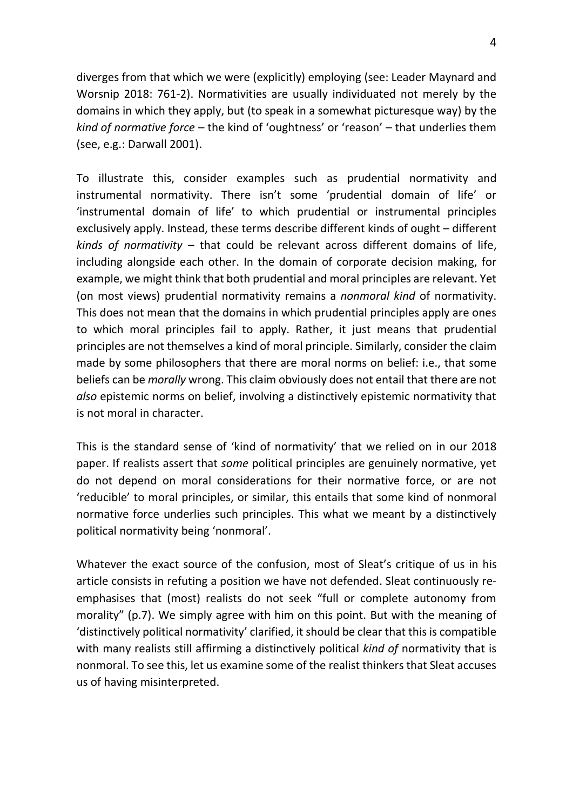diverges from that which we were (explicitly) employing (see: Leader Maynard and Worsnip 2018: 761-2). Normativities are usually individuated not merely by the domains in which they apply, but (to speak in a somewhat picturesque way) by the *kind of normative force* – the kind of 'oughtness' or 'reason' – that underlies them (see, e.g.: Darwall 2001).

To illustrate this, consider examples such as prudential normativity and instrumental normativity. There isn't some 'prudential domain of life' or 'instrumental domain of life' to which prudential or instrumental principles exclusively apply. Instead, these terms describe different kinds of ought – different *kinds of normativity* – that could be relevant across different domains of life, including alongside each other. In the domain of corporate decision making, for example, we might think that both prudential and moral principles are relevant. Yet (on most views) prudential normativity remains a *nonmoral kind* of normativity. This does not mean that the domains in which prudential principles apply are ones to which moral principles fail to apply. Rather, it just means that prudential principles are not themselves a kind of moral principle. Similarly, consider the claim made by some philosophers that there are moral norms on belief: i.e., that some beliefs can be *morally* wrong. This claim obviously does not entail that there are not *also* epistemic norms on belief, involving a distinctively epistemic normativity that is not moral in character.

This is the standard sense of 'kind of normativity' that we relied on in our 2018 paper. If realists assert that *some* political principles are genuinely normative, yet do not depend on moral considerations for their normative force, or are not 'reducible' to moral principles, or similar, this entails that some kind of nonmoral normative force underlies such principles. This what we meant by a distinctively political normativity being 'nonmoral'.

Whatever the exact source of the confusion, most of Sleat's critique of us in his article consists in refuting a position we have not defended. Sleat continuously reemphasises that (most) realists do not seek "full or complete autonomy from morality" (p.7). We simply agree with him on this point. But with the meaning of 'distinctively political normativity' clarified, it should be clear that this is compatible with many realists still affirming a distinctively political *kind of* normativity that is nonmoral. To see this, let us examine some of the realist thinkers that Sleat accuses us of having misinterpreted.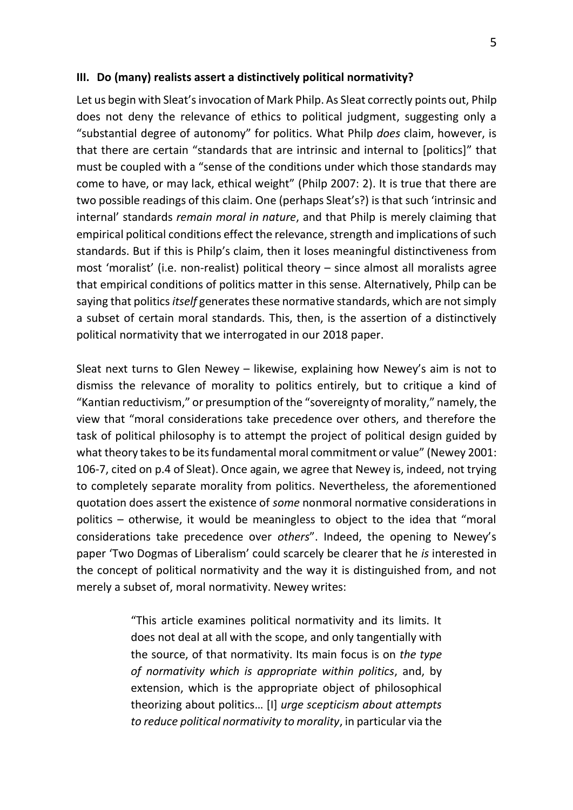#### **III. Do (many) realists assert a distinctively political normativity?**

Let us begin with Sleat's invocation of Mark Philp. As Sleat correctly points out, Philp does not deny the relevance of ethics to political judgment, suggesting only a "substantial degree of autonomy" for politics. What Philp *does* claim, however, is that there are certain "standards that are intrinsic and internal to [politics]" that must be coupled with a "sense of the conditions under which those standards may come to have, or may lack, ethical weight" (Philp 2007: 2). It is true that there are two possible readings of this claim. One (perhaps Sleat's?) is that such 'intrinsic and internal' standards *remain moral in nature*, and that Philp is merely claiming that empirical political conditions effect the relevance, strength and implications of such standards. But if this is Philp's claim, then it loses meaningful distinctiveness from most 'moralist' (i.e. non-realist) political theory – since almost all moralists agree that empirical conditions of politics matter in this sense. Alternatively, Philp can be saying that politics *itself* generates these normative standards, which are not simply a subset of certain moral standards. This, then, is the assertion of a distinctively political normativity that we interrogated in our 2018 paper.

Sleat next turns to Glen Newey – likewise, explaining how Newey's aim is not to dismiss the relevance of morality to politics entirely, but to critique a kind of "Kantian reductivism," or presumption of the "sovereignty of morality," namely, the view that "moral considerations take precedence over others, and therefore the task of political philosophy is to attempt the project of political design guided by what theory takes to be its fundamental moral commitment or value" (Newey 2001: 106-7, cited on p.4 of Sleat). Once again, we agree that Newey is, indeed, not trying to completely separate morality from politics. Nevertheless, the aforementioned quotation does assert the existence of *some* nonmoral normative considerations in politics – otherwise, it would be meaningless to object to the idea that "moral considerations take precedence over *others*". Indeed, the opening to Newey's paper 'Two Dogmas of Liberalism' could scarcely be clearer that he *is* interested in the concept of political normativity and the way it is distinguished from, and not merely a subset of, moral normativity. Newey writes:

> "This article examines political normativity and its limits. It does not deal at all with the scope, and only tangentially with the source, of that normativity. Its main focus is on *the type of normativity which is appropriate within politics*, and, by extension, which is the appropriate object of philosophical theorizing about politics… [I] *urge scepticism about attempts to reduce political normativity to morality*, in particular via the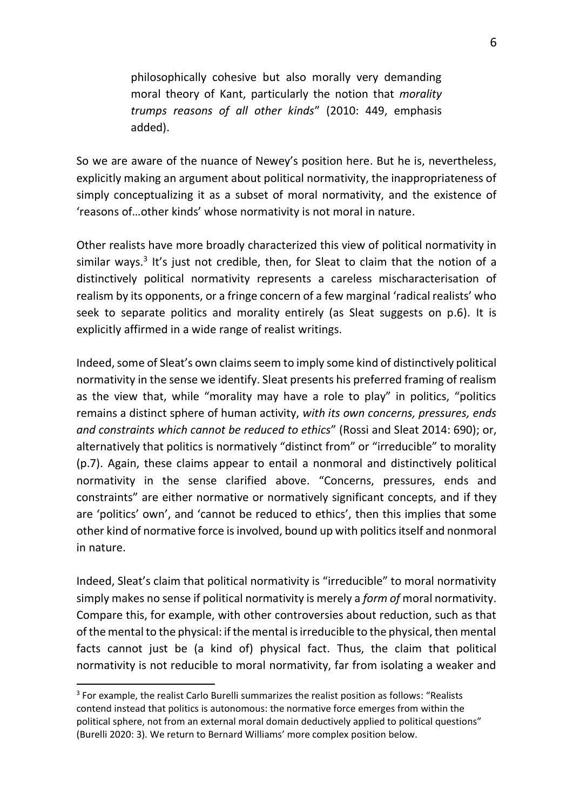philosophically cohesive but also morally very demanding moral theory of Kant, particularly the notion that *morality trumps reasons of all other kinds*" (2010: 449, emphasis added).

So we are aware of the nuance of Newey's position here. But he is, nevertheless, explicitly making an argument about political normativity, the inappropriateness of simply conceptualizing it as a subset of moral normativity, and the existence of 'reasons of…other kinds' whose normativity is not moral in nature.

Other realists have more broadly characterized this view of political normativity in similar ways.<sup>3</sup> It's just not credible, then, for Sleat to claim that the notion of a distinctively political normativity represents a careless mischaracterisation of realism by its opponents, or a fringe concern of a few marginal 'radical realists' who seek to separate politics and morality entirely (as Sleat suggests on p.6). It is explicitly affirmed in a wide range of realist writings.

Indeed, some of Sleat's own claims seem to imply some kind of distinctively political normativity in the sense we identify. Sleat presents his preferred framing of realism as the view that, while "morality may have a role to play" in politics, "politics remains a distinct sphere of human activity, *with its own concerns, pressures, ends and constraints which cannot be reduced to ethics*" (Rossi and Sleat 2014: 690); or, alternatively that politics is normatively "distinct from" or "irreducible" to morality (p.7). Again, these claims appear to entail a nonmoral and distinctively political normativity in the sense clarified above. "Concerns, pressures, ends and constraints" are either normative or normatively significant concepts, and if they are 'politics' own', and 'cannot be reduced to ethics', then this implies that some other kind of normative force is involved, bound up with politics itself and nonmoral in nature.

Indeed, Sleat's claim that political normativity is "irreducible" to moral normativity simply makes no sense if political normativity is merely a *form of* moral normativity. Compare this, for example, with other controversies about reduction, such as that of the mental to the physical: if the mental is irreducible to the physical, then mental facts cannot just be (a kind of) physical fact. Thus, the claim that political normativity is not reducible to moral normativity, far from isolating a weaker and

<sup>&</sup>lt;sup>3</sup> For example, the realist Carlo Burelli summarizes the realist position as follows: "Realists contend instead that politics is autonomous: the normative force emerges from within the political sphere, not from an external moral domain deductively applied to political questions" (Burelli 2020: 3). We return to Bernard Williams' more complex position below.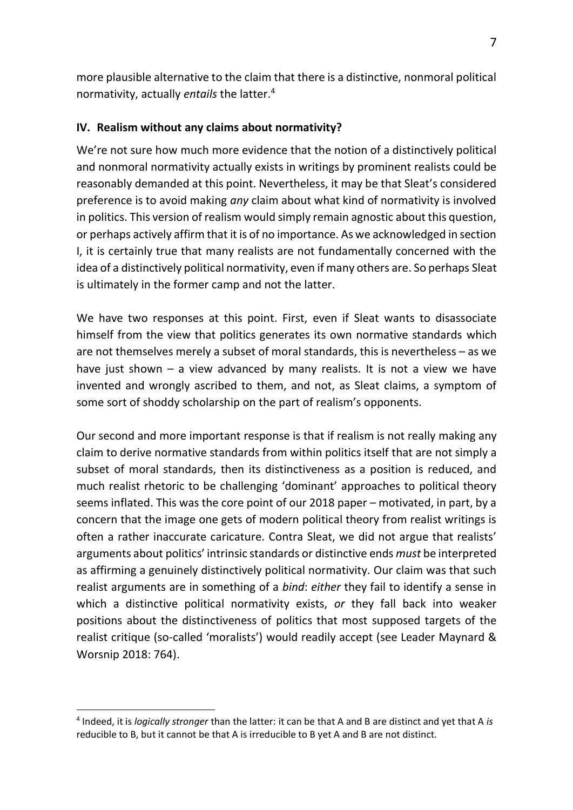more plausible alternative to the claim that there is a distinctive, nonmoral political normativity, actually *entails* the latter.<sup>4</sup>

# **IV. Realism without any claims about normativity?**

We're not sure how much more evidence that the notion of a distinctively political and nonmoral normativity actually exists in writings by prominent realists could be reasonably demanded at this point. Nevertheless, it may be that Sleat's considered preference is to avoid making *any* claim about what kind of normativity is involved in politics. This version of realism would simply remain agnostic about this question, or perhaps actively affirm that it is of no importance. As we acknowledged in section I, it is certainly true that many realists are not fundamentally concerned with the idea of a distinctively political normativity, even if many others are. So perhaps Sleat is ultimately in the former camp and not the latter.

We have two responses at this point. First, even if Sleat wants to disassociate himself from the view that politics generates its own normative standards which are not themselves merely a subset of moral standards, this is nevertheless – as we have just shown – a view advanced by many realists. It is not a view we have invented and wrongly ascribed to them, and not, as Sleat claims, a symptom of some sort of shoddy scholarship on the part of realism's opponents.

Our second and more important response is that if realism is not really making any claim to derive normative standards from within politics itself that are not simply a subset of moral standards, then its distinctiveness as a position is reduced, and much realist rhetoric to be challenging 'dominant' approaches to political theory seems inflated. This was the core point of our 2018 paper – motivated, in part, by a concern that the image one gets of modern political theory from realist writings is often a rather inaccurate caricature. Contra Sleat, we did not argue that realists' arguments about politics' intrinsic standards or distinctive ends *must* be interpreted as affirming a genuinely distinctively political normativity. Our claim was that such realist arguments are in something of a *bind*: *either* they fail to identify a sense in which a distinctive political normativity exists, *or* they fall back into weaker positions about the distinctiveness of politics that most supposed targets of the realist critique (so-called 'moralists') would readily accept (see Leader Maynard & Worsnip 2018: 764).

<sup>4</sup> Indeed, it is *logically stronger* than the latter: it can be that A and B are distinct and yet that A *is* reducible to B, but it cannot be that A is irreducible to B yet A and B are not distinct.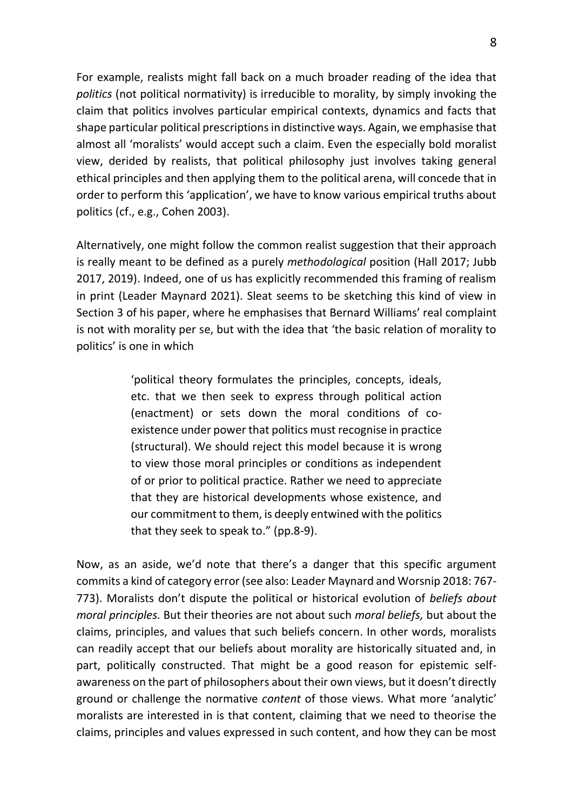For example, realists might fall back on a much broader reading of the idea that *politics* (not political normativity) is irreducible to morality, by simply invoking the claim that politics involves particular empirical contexts, dynamics and facts that shape particular political prescriptions in distinctive ways. Again, we emphasise that almost all 'moralists' would accept such a claim. Even the especially bold moralist view, derided by realists, that political philosophy just involves taking general ethical principles and then applying them to the political arena, will concede that in order to perform this 'application', we have to know various empirical truths about politics (cf., e.g., Cohen 2003).

Alternatively, one might follow the common realist suggestion that their approach is really meant to be defined as a purely *methodological* position (Hall 2017; Jubb 2017, 2019). Indeed, one of us has explicitly recommended this framing of realism in print (Leader Maynard 2021). Sleat seems to be sketching this kind of view in Section 3 of his paper, where he emphasises that Bernard Williams' real complaint is not with morality per se, but with the idea that 'the basic relation of morality to politics' is one in which

> 'political theory formulates the principles, concepts, ideals, etc. that we then seek to express through political action (enactment) or sets down the moral conditions of coexistence under power that politics must recognise in practice (structural). We should reject this model because it is wrong to view those moral principles or conditions as independent of or prior to political practice. Rather we need to appreciate that they are historical developments whose existence, and our commitment to them, is deeply entwined with the politics that they seek to speak to." (pp.8-9).

Now, as an aside, we'd note that there's a danger that this specific argument commits a kind of category error (see also: Leader Maynard and Worsnip 2018: 767- 773). Moralists don't dispute the political or historical evolution of *beliefs about moral principles.* But their theories are not about such *moral beliefs,* but about the claims, principles, and values that such beliefs concern. In other words, moralists can readily accept that our beliefs about morality are historically situated and, in part, politically constructed. That might be a good reason for epistemic selfawareness on the part of philosophers about their own views, but it doesn't directly ground or challenge the normative *content* of those views. What more 'analytic' moralists are interested in is that content, claiming that we need to theorise the claims, principles and values expressed in such content, and how they can be most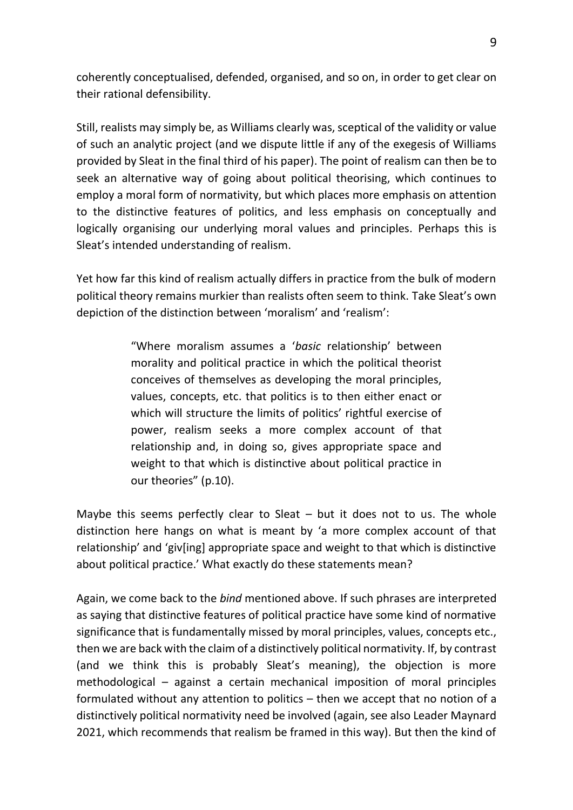coherently conceptualised, defended, organised, and so on, in order to get clear on their rational defensibility.

Still, realists may simply be, as Williams clearly was, sceptical of the validity or value of such an analytic project (and we dispute little if any of the exegesis of Williams provided by Sleat in the final third of his paper). The point of realism can then be to seek an alternative way of going about political theorising, which continues to employ a moral form of normativity, but which places more emphasis on attention to the distinctive features of politics, and less emphasis on conceptually and logically organising our underlying moral values and principles. Perhaps this is Sleat's intended understanding of realism.

Yet how far this kind of realism actually differs in practice from the bulk of modern political theory remains murkier than realists often seem to think. Take Sleat's own depiction of the distinction between 'moralism' and 'realism':

> "Where moralism assumes a '*basic* relationship' between morality and political practice in which the political theorist conceives of themselves as developing the moral principles, values, concepts, etc. that politics is to then either enact or which will structure the limits of politics' rightful exercise of power, realism seeks a more complex account of that relationship and, in doing so, gives appropriate space and weight to that which is distinctive about political practice in our theories" (p.10).

Maybe this seems perfectly clear to Sleat  $-$  but it does not to us. The whole distinction here hangs on what is meant by 'a more complex account of that relationship' and 'giv[ing] appropriate space and weight to that which is distinctive about political practice.' What exactly do these statements mean?

Again, we come back to the *bind* mentioned above. If such phrases are interpreted as saying that distinctive features of political practice have some kind of normative significance that is fundamentally missed by moral principles, values, concepts etc., then we are back with the claim of a distinctively political normativity. If, by contrast (and we think this is probably Sleat's meaning), the objection is more methodological – against a certain mechanical imposition of moral principles formulated without any attention to politics – then we accept that no notion of a distinctively political normativity need be involved (again, see also Leader Maynard 2021, which recommends that realism be framed in this way). But then the kind of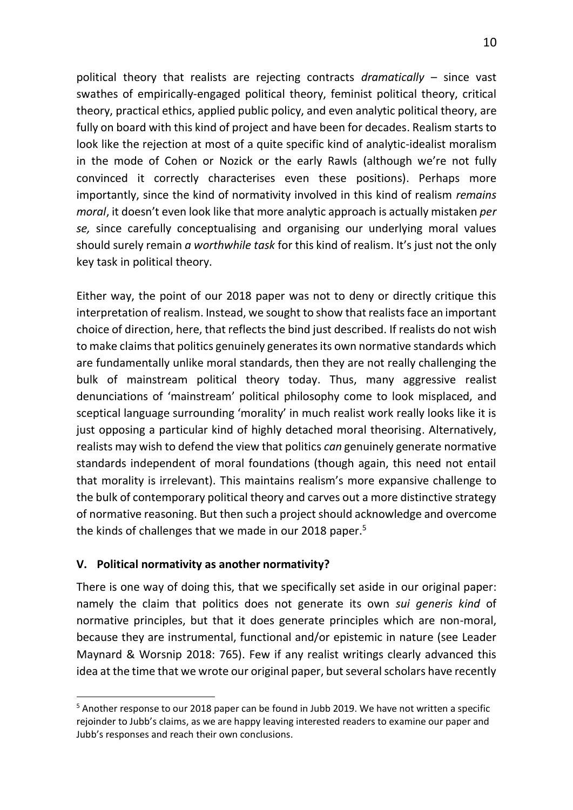political theory that realists are rejecting contracts *dramatically* – since vast swathes of empirically-engaged political theory, feminist political theory, critical theory, practical ethics, applied public policy, and even analytic political theory, are fully on board with this kind of project and have been for decades. Realism starts to look like the rejection at most of a quite specific kind of analytic-idealist moralism in the mode of Cohen or Nozick or the early Rawls (although we're not fully convinced it correctly characterises even these positions). Perhaps more importantly, since the kind of normativity involved in this kind of realism *remains moral*, it doesn't even look like that more analytic approach is actually mistaken *per se,* since carefully conceptualising and organising our underlying moral values should surely remain *a worthwhile task* for this kind of realism. It's just not the only key task in political theory.

Either way, the point of our 2018 paper was not to deny or directly critique this interpretation of realism. Instead, we sought to show that realists face an important choice of direction, here, that reflects the bind just described. If realists do not wish to make claims that politics genuinely generates its own normative standards which are fundamentally unlike moral standards, then they are not really challenging the bulk of mainstream political theory today. Thus, many aggressive realist denunciations of 'mainstream' political philosophy come to look misplaced, and sceptical language surrounding 'morality' in much realist work really looks like it is just opposing a particular kind of highly detached moral theorising. Alternatively, realists may wish to defend the view that politics *can* genuinely generate normative standards independent of moral foundations (though again, this need not entail that morality is irrelevant). This maintains realism's more expansive challenge to the bulk of contemporary political theory and carves out a more distinctive strategy of normative reasoning. But then such a project should acknowledge and overcome the kinds of challenges that we made in our 2018 paper.<sup>5</sup>

# **V. Political normativity as another normativity?**

There is one way of doing this, that we specifically set aside in our original paper: namely the claim that politics does not generate its own *sui generis kind* of normative principles, but that it does generate principles which are non-moral, because they are instrumental, functional and/or epistemic in nature (see Leader Maynard & Worsnip 2018: 765). Few if any realist writings clearly advanced this idea at the time that we wrote our original paper, but several scholars have recently

<sup>&</sup>lt;sup>5</sup> Another response to our 2018 paper can be found in Jubb 2019. We have not written a specific rejoinder to Jubb's claims, as we are happy leaving interested readers to examine our paper and Jubb's responses and reach their own conclusions.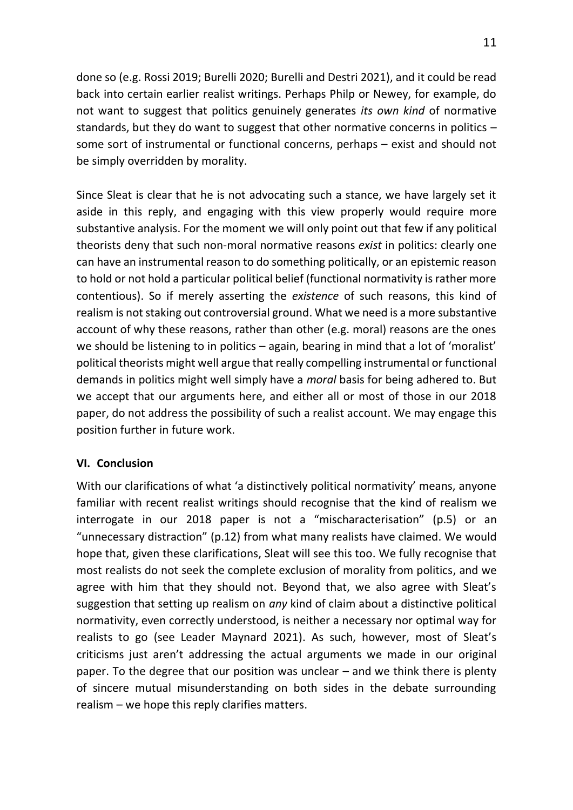done so (e.g. Rossi 2019; Burelli 2020; Burelli and Destri 2021), and it could be read back into certain earlier realist writings. Perhaps Philp or Newey, for example, do not want to suggest that politics genuinely generates *its own kind* of normative standards, but they do want to suggest that other normative concerns in politics – some sort of instrumental or functional concerns, perhaps – exist and should not be simply overridden by morality.

Since Sleat is clear that he is not advocating such a stance, we have largely set it aside in this reply, and engaging with this view properly would require more substantive analysis. For the moment we will only point out that few if any political theorists deny that such non-moral normative reasons *exist* in politics: clearly one can have an instrumental reason to do something politically, or an epistemic reason to hold or not hold a particular political belief (functional normativity is rather more contentious). So if merely asserting the *existence* of such reasons, this kind of realism is not staking out controversial ground. What we need is a more substantive account of why these reasons, rather than other (e.g. moral) reasons are the ones we should be listening to in politics – again, bearing in mind that a lot of 'moralist' political theorists might well argue that really compelling instrumental or functional demands in politics might well simply have a *moral* basis for being adhered to. But we accept that our arguments here, and either all or most of those in our 2018 paper, do not address the possibility of such a realist account. We may engage this position further in future work.

#### **VI. Conclusion**

With our clarifications of what 'a distinctively political normativity' means, anyone familiar with recent realist writings should recognise that the kind of realism we interrogate in our 2018 paper is not a "mischaracterisation" (p.5) or an "unnecessary distraction" (p.12) from what many realists have claimed. We would hope that, given these clarifications, Sleat will see this too. We fully recognise that most realists do not seek the complete exclusion of morality from politics, and we agree with him that they should not. Beyond that, we also agree with Sleat's suggestion that setting up realism on *any* kind of claim about a distinctive political normativity, even correctly understood, is neither a necessary nor optimal way for realists to go (see Leader Maynard 2021). As such, however, most of Sleat's criticisms just aren't addressing the actual arguments we made in our original paper. To the degree that our position was unclear – and we think there is plenty of sincere mutual misunderstanding on both sides in the debate surrounding realism – we hope this reply clarifies matters.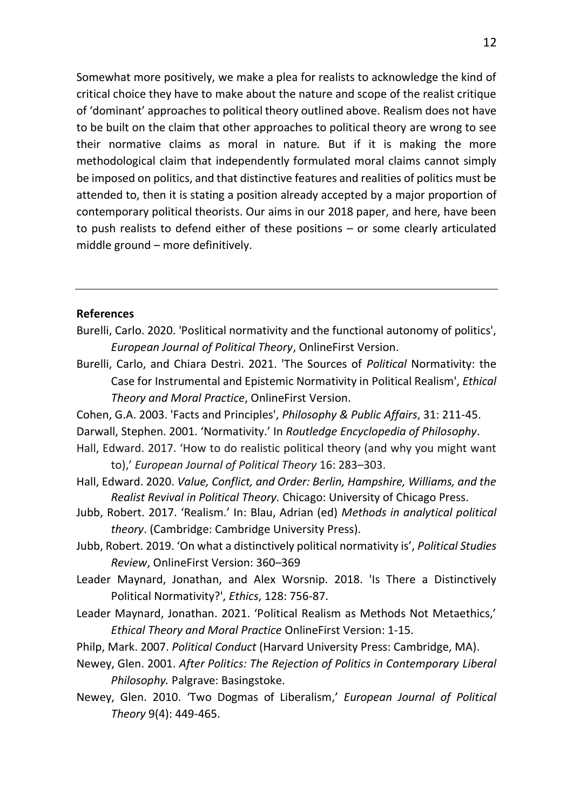Somewhat more positively, we make a plea for realists to acknowledge the kind of critical choice they have to make about the nature and scope of the realist critique of 'dominant' approaches to political theory outlined above. Realism does not have to be built on the claim that other approaches to political theory are wrong to see their normative claims as moral in nature*.* But if it is making the more methodological claim that independently formulated moral claims cannot simply be imposed on politics, and that distinctive features and realities of politics must be attended to, then it is stating a position already accepted by a major proportion of contemporary political theorists. Our aims in our 2018 paper, and here, have been to push realists to defend either of these positions – or some clearly articulated middle ground – more definitively.

#### **References**

- Burelli, Carlo. 2020. 'Poslitical normativity and the functional autonomy of politics', *European Journal of Political Theory*, OnlineFirst Version.
- Burelli, Carlo, and Chiara Destri. 2021. 'The Sources of *Political* Normativity: the Case for Instrumental and Epistemic Normativity in Political Realism', *Ethical Theory and Moral Practice*, OnlineFirst Version.
- Cohen, G.A. 2003. 'Facts and Principles', *Philosophy & Public Affairs*, 31: 211-45.
- Darwall, Stephen. 2001. 'Normativity.' In *Routledge Encyclopedia of Philosophy*.
- Hall, Edward. 2017. 'How to do realistic political theory (and why you might want to),' *European Journal of Political Theory* 16: 283–303.
- Hall, Edward. 2020. *Value, Conflict, and Order: Berlin, Hampshire, Williams, and the Realist Revival in Political Theory.* Chicago: University of Chicago Press.
- Jubb, Robert. 2017. 'Realism.' In: Blau, Adrian (ed) *Methods in analytical political theory*. (Cambridge: Cambridge University Press).
- Jubb, Robert. 2019. 'On what a distinctively political normativity is', *Political Studies Review*, OnlineFirst Version: 360–369
- Leader Maynard, Jonathan, and Alex Worsnip. 2018. 'Is There a Distinctively Political Normativity?', *Ethics*, 128: 756-87.
- Leader Maynard, Jonathan. 2021. 'Political Realism as Methods Not Metaethics,' *Ethical Theory and Moral Practice* OnlineFirst Version: 1-15.
- Philp, Mark. 2007. *Political Conduct* (Harvard University Press: Cambridge, MA).
- Newey, Glen. 2001. *After Politics: The Rejection of Politics in Contemporary Liberal Philosophy.* Palgrave: Basingstoke.
- Newey, Glen. 2010. 'Two Dogmas of Liberalism,' *European Journal of Political Theory* 9(4): 449-465.